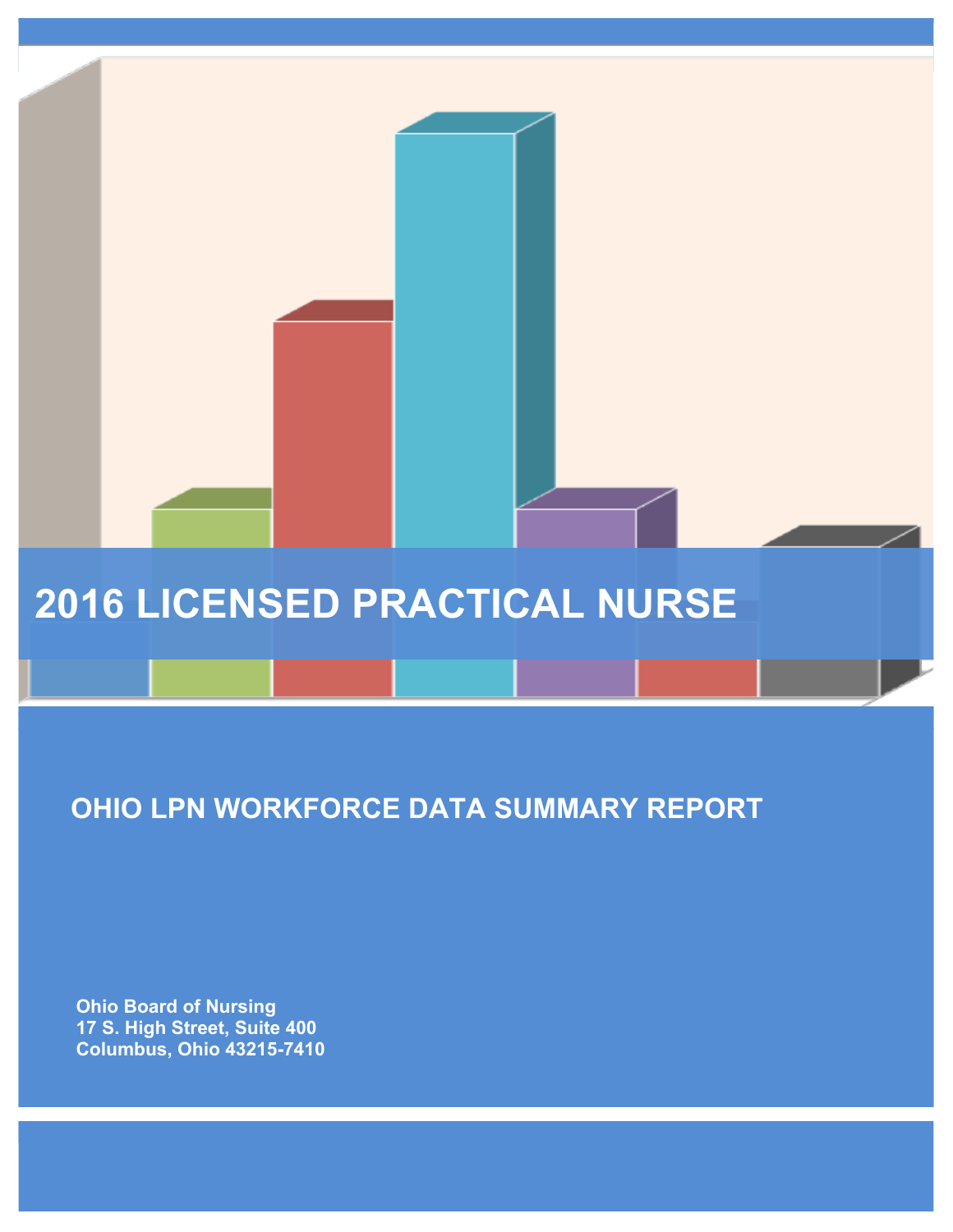# **2016 LICENSED PRACTICAL NURSE**

# **OHIO LPN WORKFORCE DATA SUMMARY REPORT**

 **Ohio Board of Nursing 17 S. High Street, Suite 400 Columbus, Ohio 43215-7410**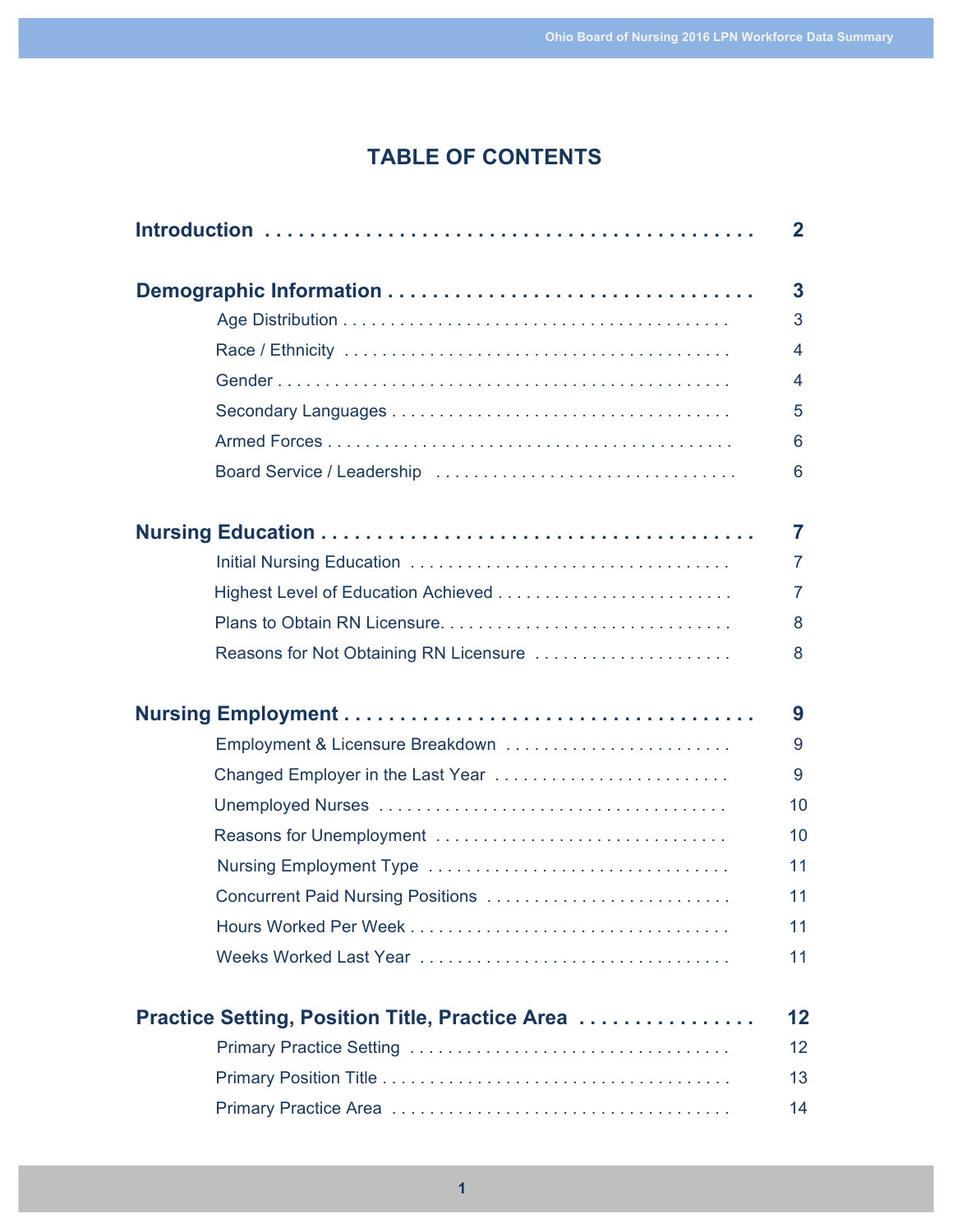# **TABLE OF CONTENTS**

|                                                 | $\mathbf{2}$            |
|-------------------------------------------------|-------------------------|
|                                                 | $\overline{\mathbf{3}}$ |
|                                                 | 3                       |
|                                                 | 4                       |
|                                                 | 4                       |
|                                                 | 5                       |
|                                                 | 6                       |
|                                                 | 6                       |
|                                                 | $\overline{7}$          |
|                                                 | $\overline{7}$          |
|                                                 | $\overline{7}$          |
|                                                 | 8                       |
| Reasons for Not Obtaining RN Licensure          | 8                       |
|                                                 | 9                       |
| Employment & Licensure Breakdown                | 9                       |
| Changed Employer in the Last Year               | 9                       |
|                                                 | 10                      |
| Reasons for Unemployment                        | 10                      |
|                                                 | 11                      |
| Concurrent Paid Nursing Positions               | 11                      |
|                                                 | 11                      |
|                                                 | 11                      |
| Practice Setting, Position Title, Practice Area | 12                      |
|                                                 | 12                      |
|                                                 | 13                      |
|                                                 | 14                      |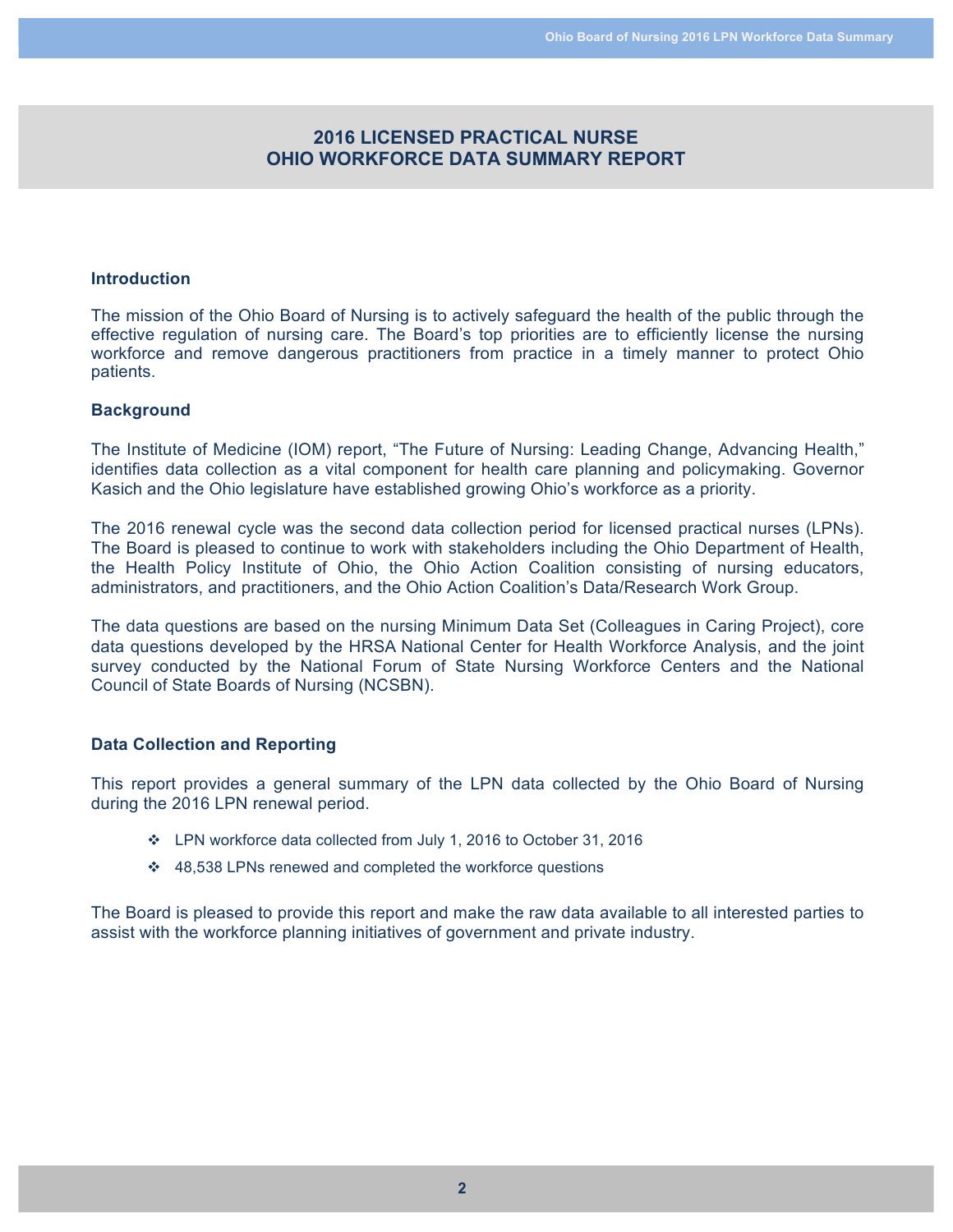# **2016 LICENSED PRACTICAL NURSE OHIO WORKFORCE DATA SUMMARY REPORT**

#### **Introduction**

The mission of the Ohio Board of Nursing is to actively safeguard the health of the public through the effective regulation of nursing care. The Board's top priorities are to efficiently license the nursing workforce and remove dangerous practitioners from practice in a timely manner to protect Ohio patients.

#### **Background**

The Institute of Medicine (IOM) report, "The Future of Nursing: Leading Change, Advancing Health," identifies data collection as a vital component for health care planning and policymaking. Governor Kasich and the Ohio legislature have established growing Ohio's workforce as a priority.

The 2016 renewal cycle was the second data collection period for licensed practical nurses (LPNs). The Board is pleased to continue to work with stakeholders including the Ohio Department of Health, the Health Policy Institute of Ohio, the Ohio Action Coalition consisting of nursing educators, administrators, and practitioners, and the Ohio Action Coalition's Data/Research Work Group.

The data questions are based on the nursing Minimum Data Set (Colleagues in Caring Project), core data questions developed by the HRSA National Center for Health Workforce Analysis, and the joint survey conducted by the National Forum of State Nursing Workforce Centers and the National Council of State Boards of Nursing (NCSBN).

#### **Data Collection and Reporting**

This report provides a general summary of the LPN data collected by the Ohio Board of Nursing during the 2016 LPN renewal period.

- \* LPN workforce data collected from July 1, 2016 to October 31, 2016
- $\div$  48,538 LPNs renewed and completed the workforce questions

The Board is pleased to provide this report and make the raw data available to all interested parties to assist with the workforce planning initiatives of government and private industry.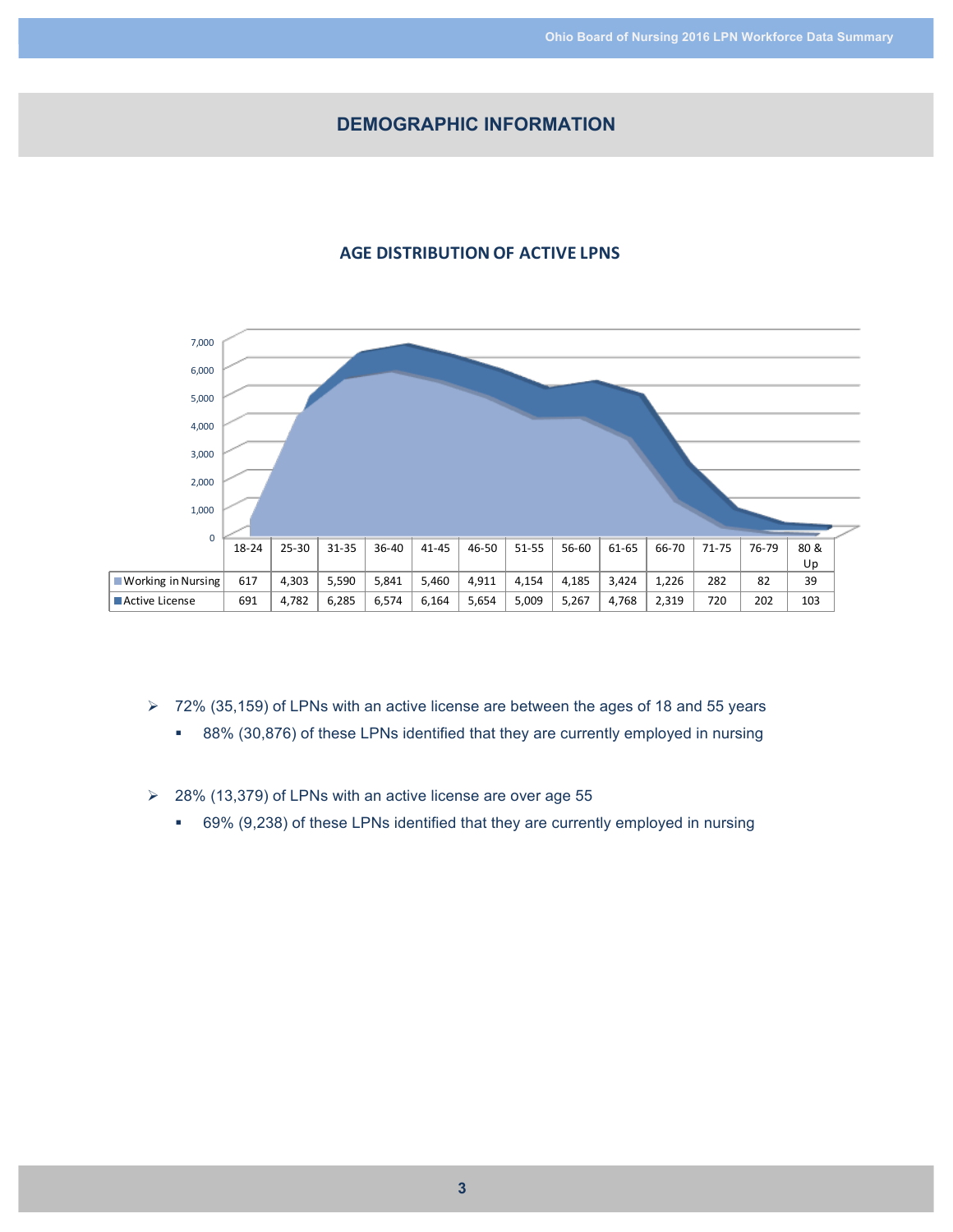# **DEMOGRAPHIC INFORMATION**

# **AGE DISTRIBUTION OF ACTIVE LPNS**



- $\geq 72\%$  (35,159) of LPNs with an active license are between the ages of 18 and 55 years
	- 88% (30,876) of these LPNs identified that they are currently employed in nursing
- $\geq$  28% (13,379) of LPNs with an active license are over age 55
	- § 69% (9,238) of these LPNs identified that they are currently employed in nursing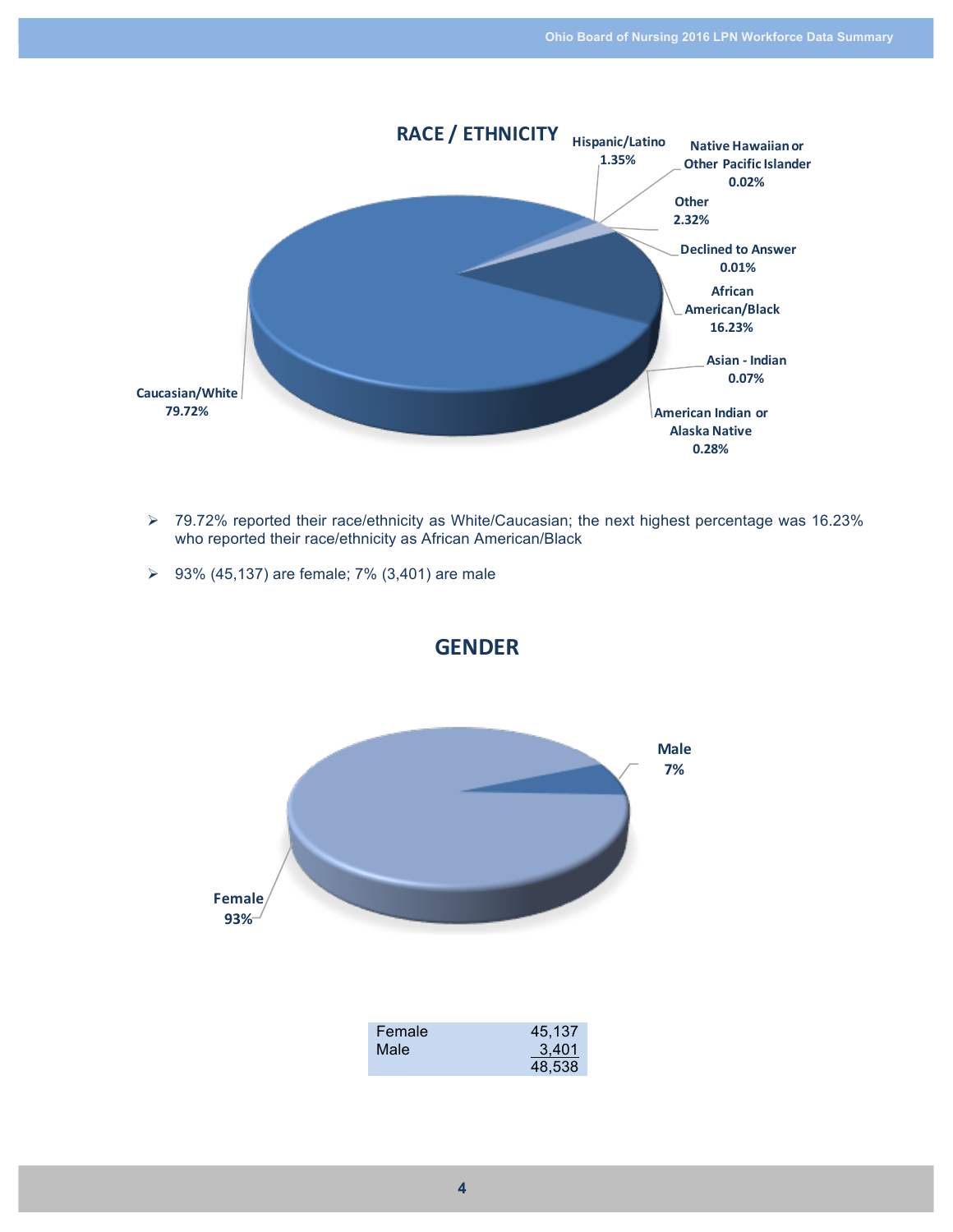

- Ø 79.72% reported their race/ethnicity as White/Caucasian; the next highest percentage was 16.23% who reported their race/ethnicity as African American/Black
- **▷** 93% (45,137) are female; 7% (3,401) are male

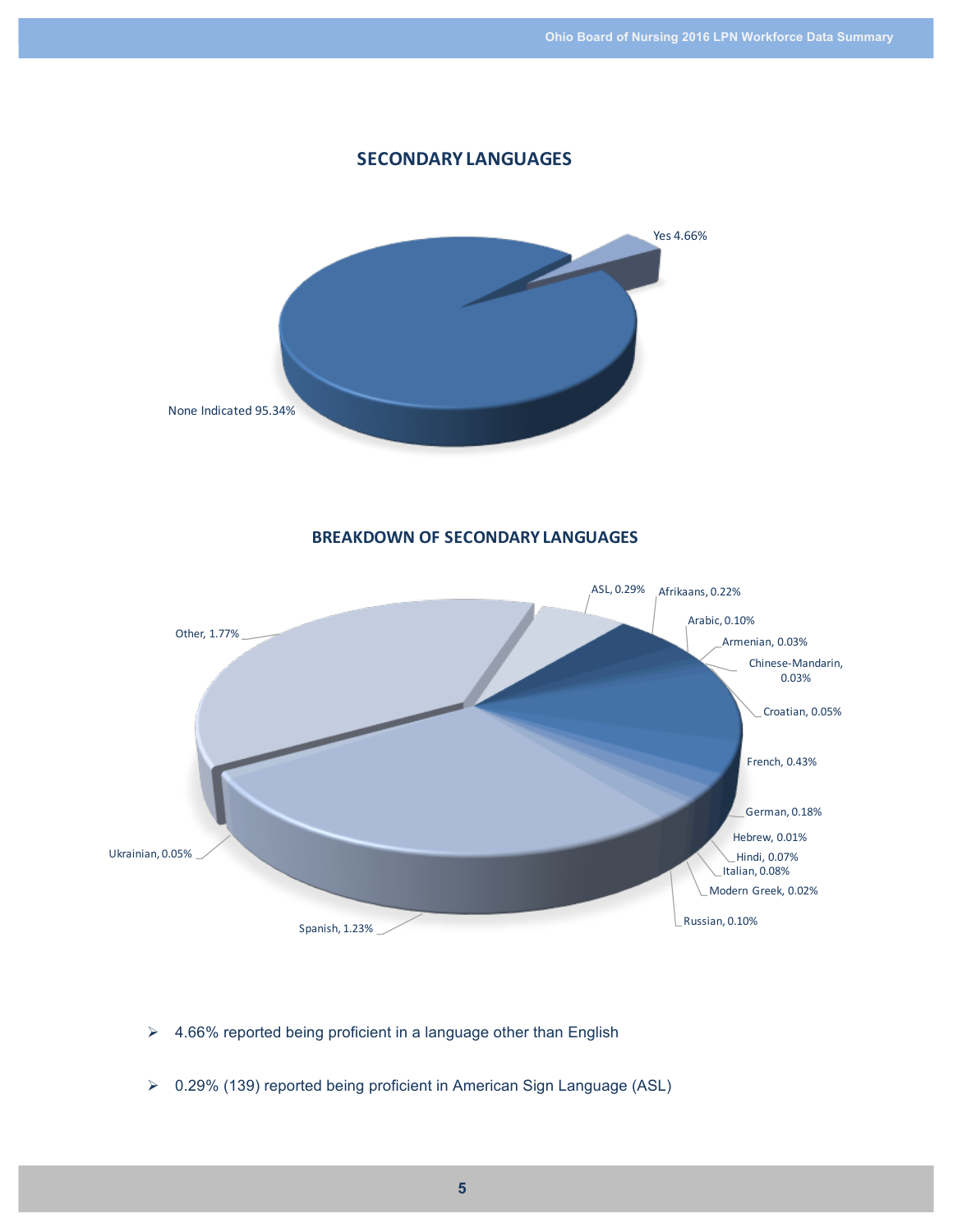

- $\geq$  4.66% reported being proficient in a language other than English
- Ø 0.29% (139) reported being proficient in American Sign Language (ASL)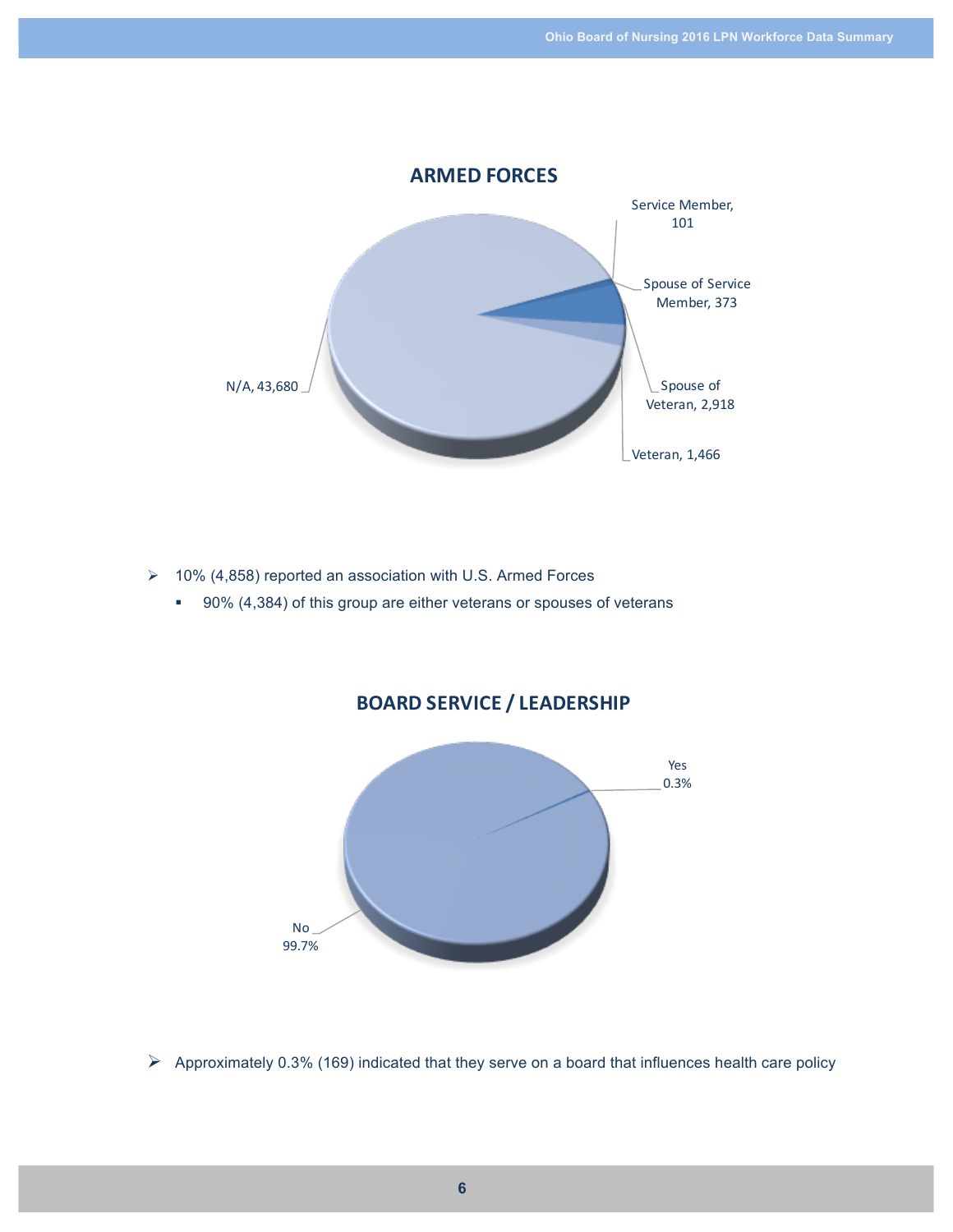

 $\geq$  10% (4,858) reported an association with U.S. Armed Forces

■ 90% (4,384) of this group are either veterans or spouses of veterans

# **BOARD SERVICE / LEADERSHIP**



 $\triangleright$  Approximately 0.3% (169) indicated that they serve on a board that influences health care policy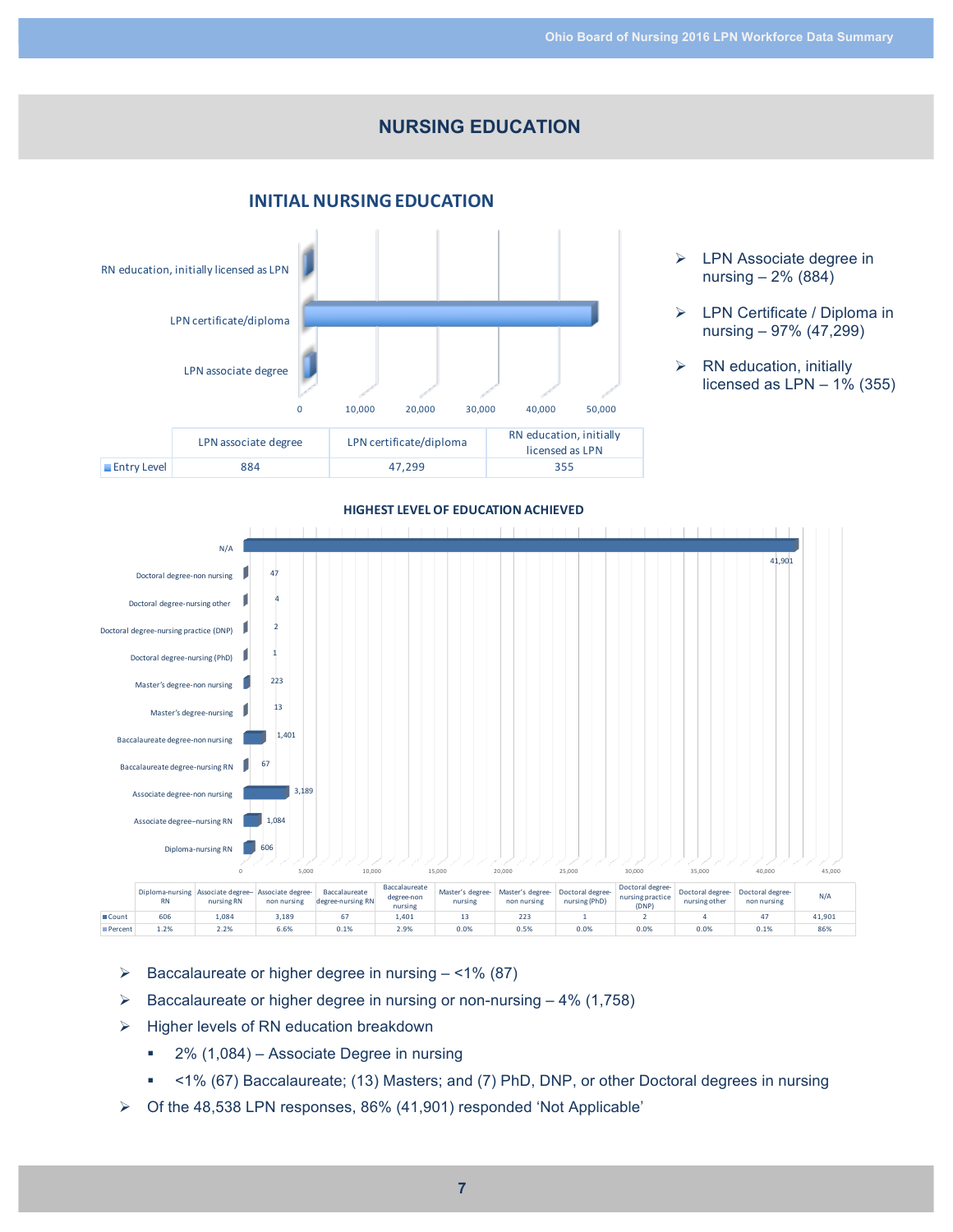# **NURSING EDUCATION**





- $\triangleright$  LPN Associate degree in nursing – 2% (884)
- $\triangleright$  LPN Certificate / Diploma in nursing – 97% (47,299)
- $\triangleright$  RN education, initially licensed as  $LPN - 1\%$  (355)



- $\triangleright$  Baccalaureate or higher degree in nursing  $-$  <1% (87)
- $\triangleright$  Baccalaureate or higher degree in nursing or non-nursing  $-4\%$  (1,758)
- Ø Higher levels of RN education breakdown
	- 2% (1,084) Associate Degree in nursing
	- § <1% (67) Baccalaureate; (13) Masters; and (7) PhD, DNP, or other Doctoral degrees in nursing
- $\triangleright$  Of the 48,538 LPN responses, 86% (41,901) responded 'Not Applicable'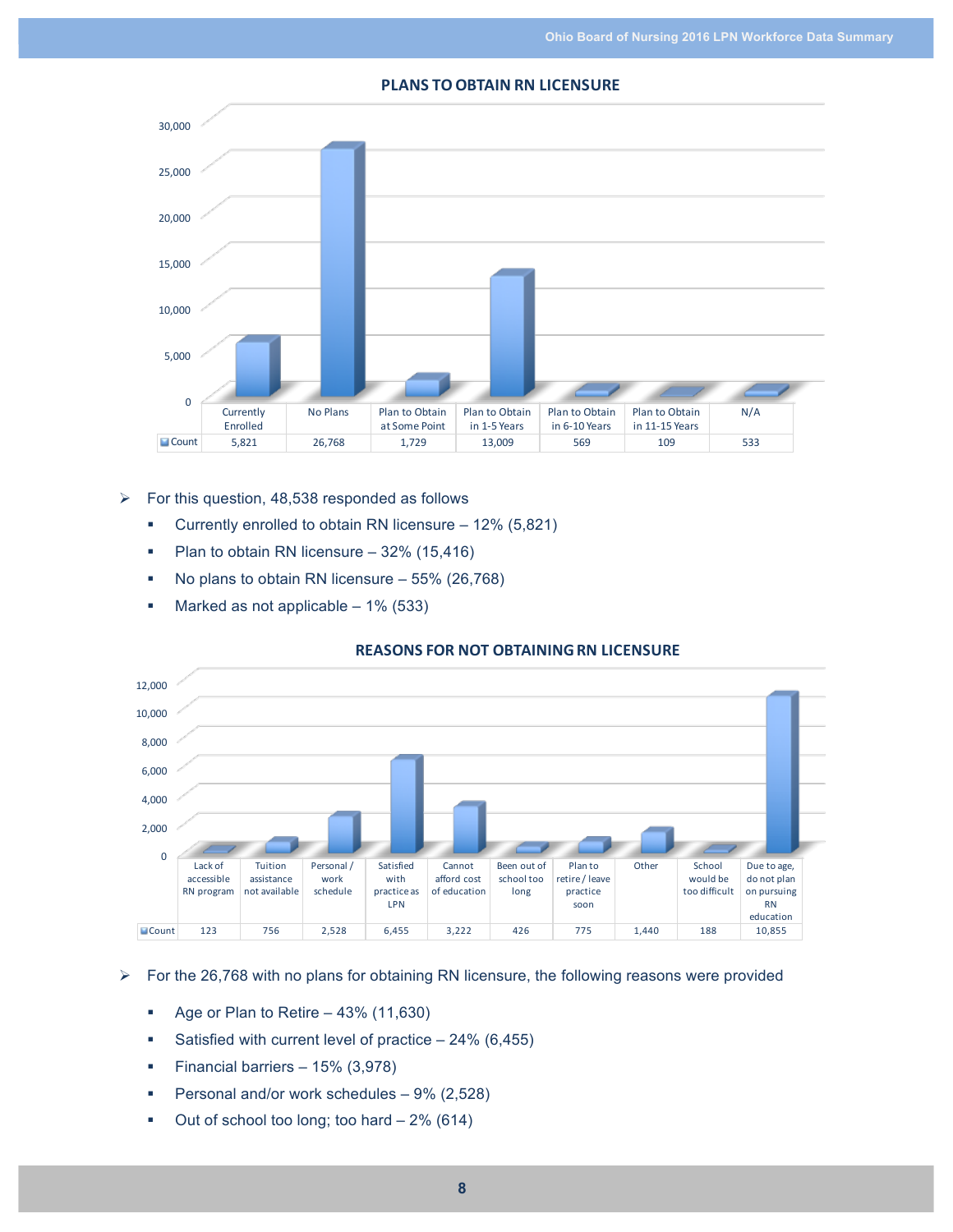#### 0 5,000 10,000 15,000 20,000 25,000 30,000 **Currently** Enrolled No Plans Plan to Obtain at Some Point Plan to Obtain in 1-5 Years Plan to Obtain in 6-10 Years Plan to Obtain in 11-15 Years N/A Count 5,821 26,768 1,729 13,009 569 109 533

#### **PLANS TO OBTAIN RN LICENSURE**

- $\triangleright$  For this question, 48,538 responded as follows
	- Currently enrolled to obtain RN licensure 12% (5,821)
	- Plan to obtain RN licensure 32% (15,416)
	- No plans to obtain RN licensure 55% (26,768)
	- Marked as not applicable 1% (533)

#### **REASONS FOR NOT OBTAINING RN LICENSURE**



#### $\triangleright$  For the 26,768 with no plans for obtaining RN licensure, the following reasons were provided

- Age or Plan to Retire 43% (11,630)
- § Satisfied with current level of practice 24% (6,455)
- § Financial barriers 15% (3,978)
- Personal and/or work schedules 9% (2,528)
- § Out of school too long; too hard 2% (614)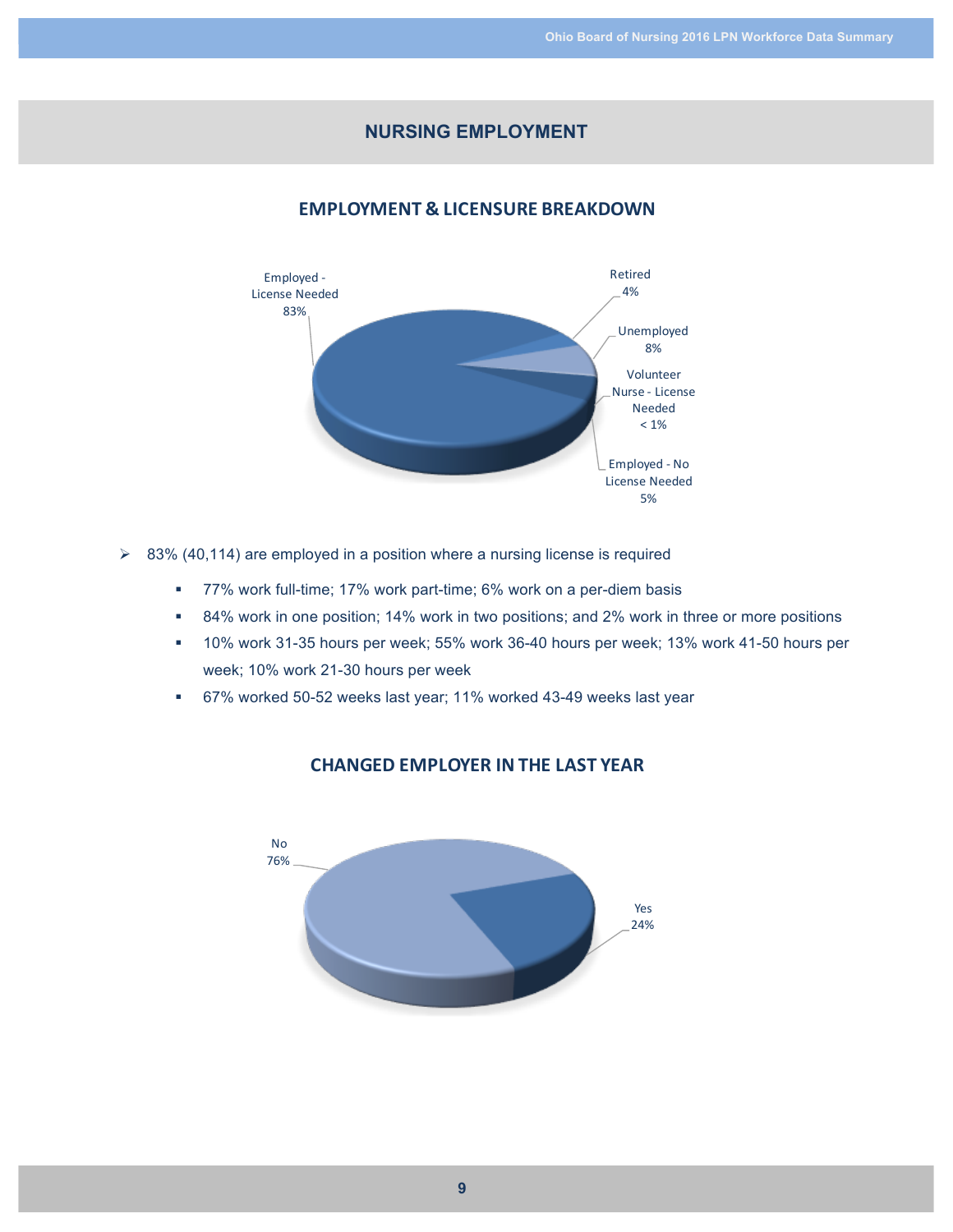# **NURSING EMPLOYMENT**

# **EMPLOYMENT & LICENSURE BREAKDOWN**



- $\geq$  83% (40,114) are employed in a position where a nursing license is required
	- 77% work full-time; 17% work part-time; 6% work on a per-diem basis
	- 84% work in one position; 14% work in two positions; and 2% work in three or more positions
	- § 10% work 31-35 hours per week; 55% work 36-40 hours per week; 13% work 41-50 hours per week; 10% work 21-30 hours per week
	- § 67% worked 50-52 weeks last year; 11% worked 43-49 weeks last year



#### **CHANGED EMPLOYER IN THE LAST YEAR**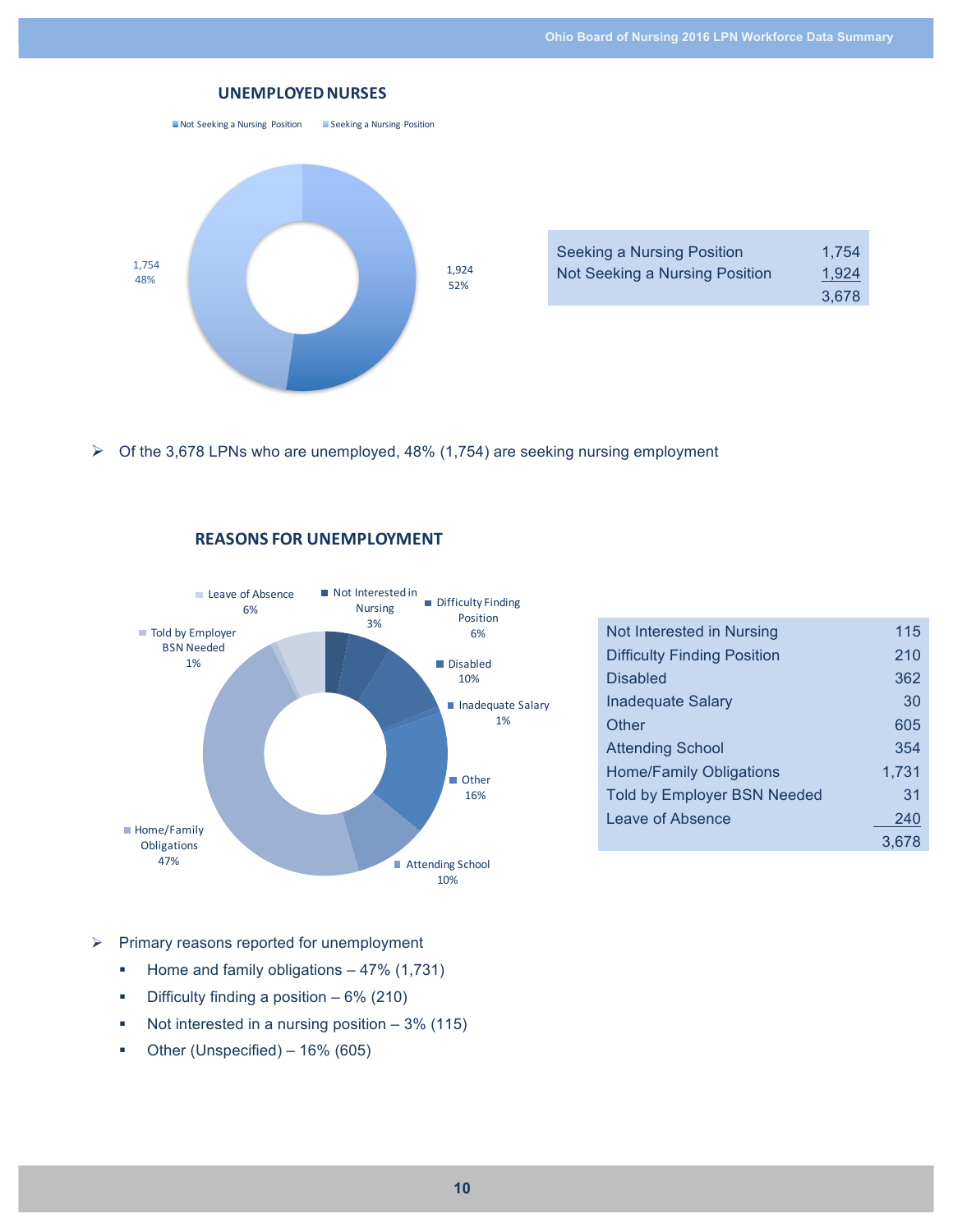

| Seeking a Nursing Position     | 1.754 |
|--------------------------------|-------|
| Not Seeking a Nursing Position | 1,924 |
|                                | 3,678 |

 $\triangleright$  Of the 3,678 LPNs who are unemployed, 48% (1,754) are seeking nursing employment



#### **REASONS FOR UNEMPLOYMENT**

| Not Interested in Nursing          | 115   |
|------------------------------------|-------|
| <b>Difficulty Finding Position</b> | 210   |
| <b>Disabled</b>                    | 362   |
| Inadeguate Salary                  | 30    |
| Other                              | 605   |
| <b>Attending School</b>            | 354   |
| Home/Family Obligations            | 1,731 |
| <b>Told by Employer BSN Needed</b> | 31    |
| Leave of Absence                   | 240   |
|                                    | 3.678 |

- $\triangleright$  Primary reasons reported for unemployment
	- Home and family obligations 47% (1,731)
	- Difficulty finding a position 6% (210)
	- Not interested in a nursing position 3% (115)
	- Other (Unspecified) 16% (605)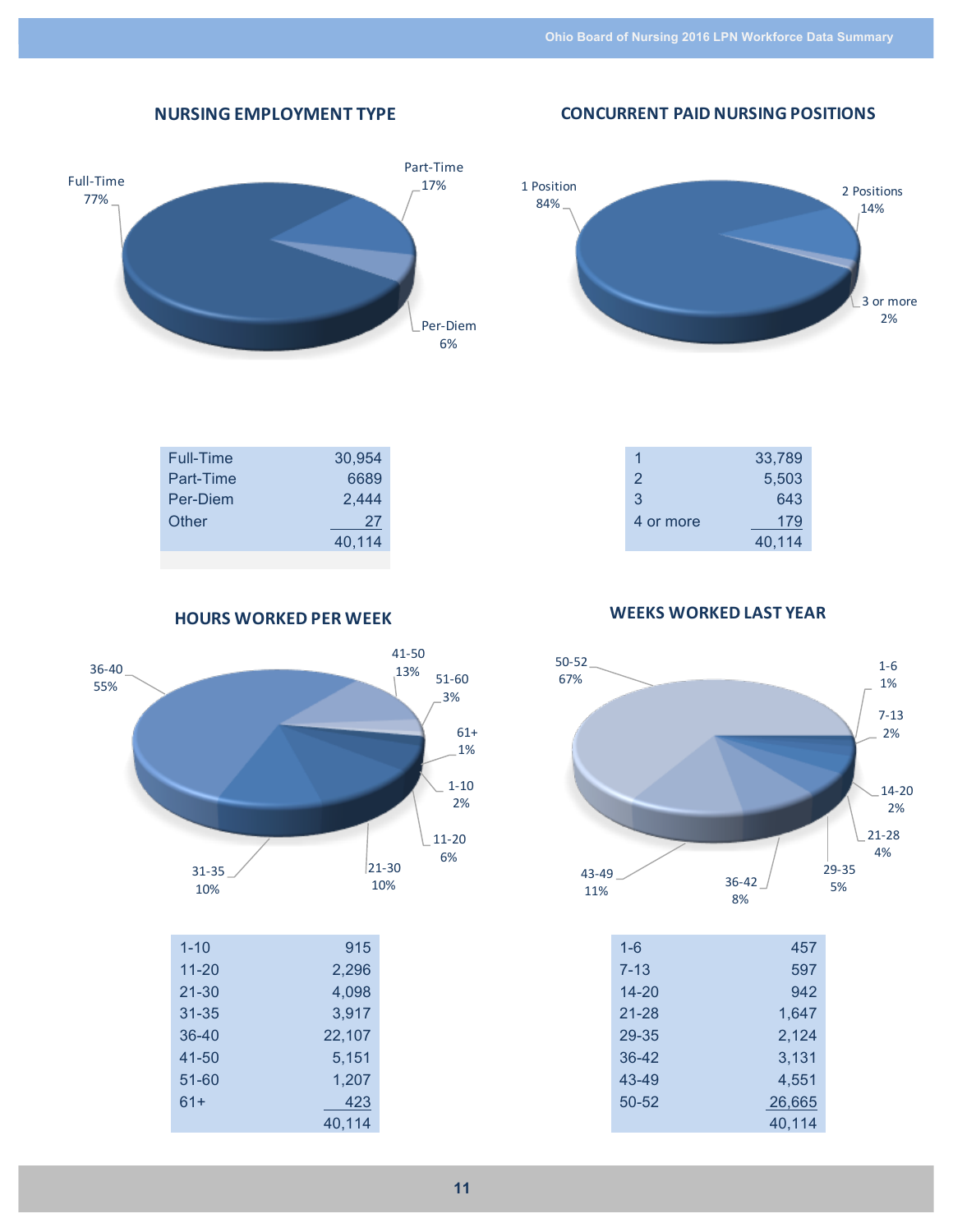**CONCURRENT PAID NURSING POSITIONS** 

# **NURSING'EMPLOYMENT'TYPE**





| Full-Time | 30,954 |  |
|-----------|--------|--|
| Part-Time | 6689   |  |
| Per-Diem  | 2,444  |  |
| Other     | 27     |  |
|           | 40,114 |  |
|           |        |  |

1 33,789 2 5,503 3 643 4 or more 179 40,114

**HOURS WORKED PER WEEK** 



40,114

**WEEKS WORKED LAST YEAR** 



| $1 - 6$   | 457    |
|-----------|--------|
| $7 - 13$  | 597    |
| $14 - 20$ | 942    |
| 21-28     | 1,647  |
| 29-35     | 2.124  |
| $36-42$   | 3,131  |
| 43-49     | 4.551  |
| 50-52     | 26,665 |
|           | 40,114 |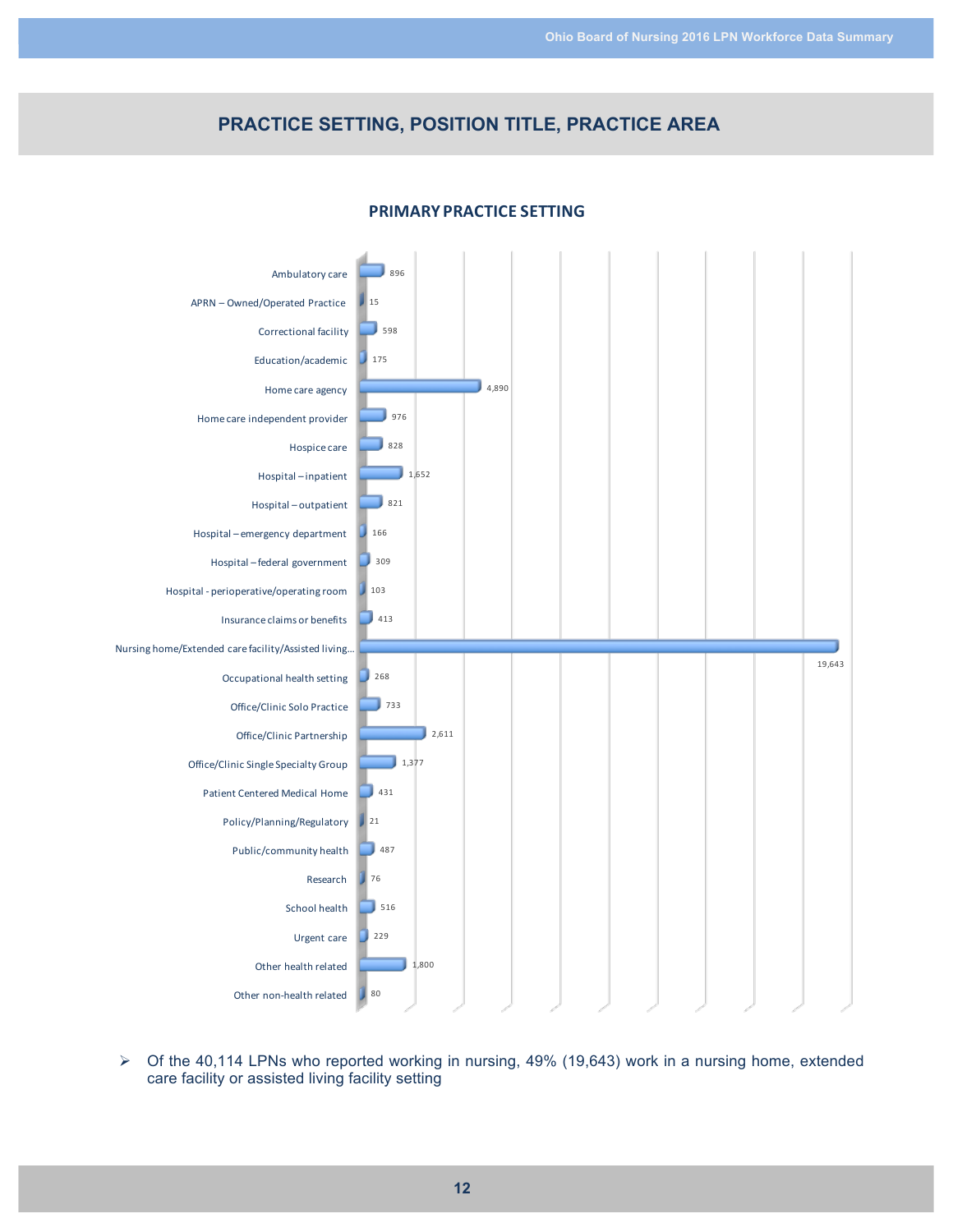# **PRACTICE SETTING, POSITION TITLE, PRACTICE AREA**



#### **PRIMARY PRACTICE SETTING**

 $\triangleright$  Of the 40,114 LPNs who reported working in nursing, 49% (19,643) work in a nursing home, extended care facility or assisted living facility setting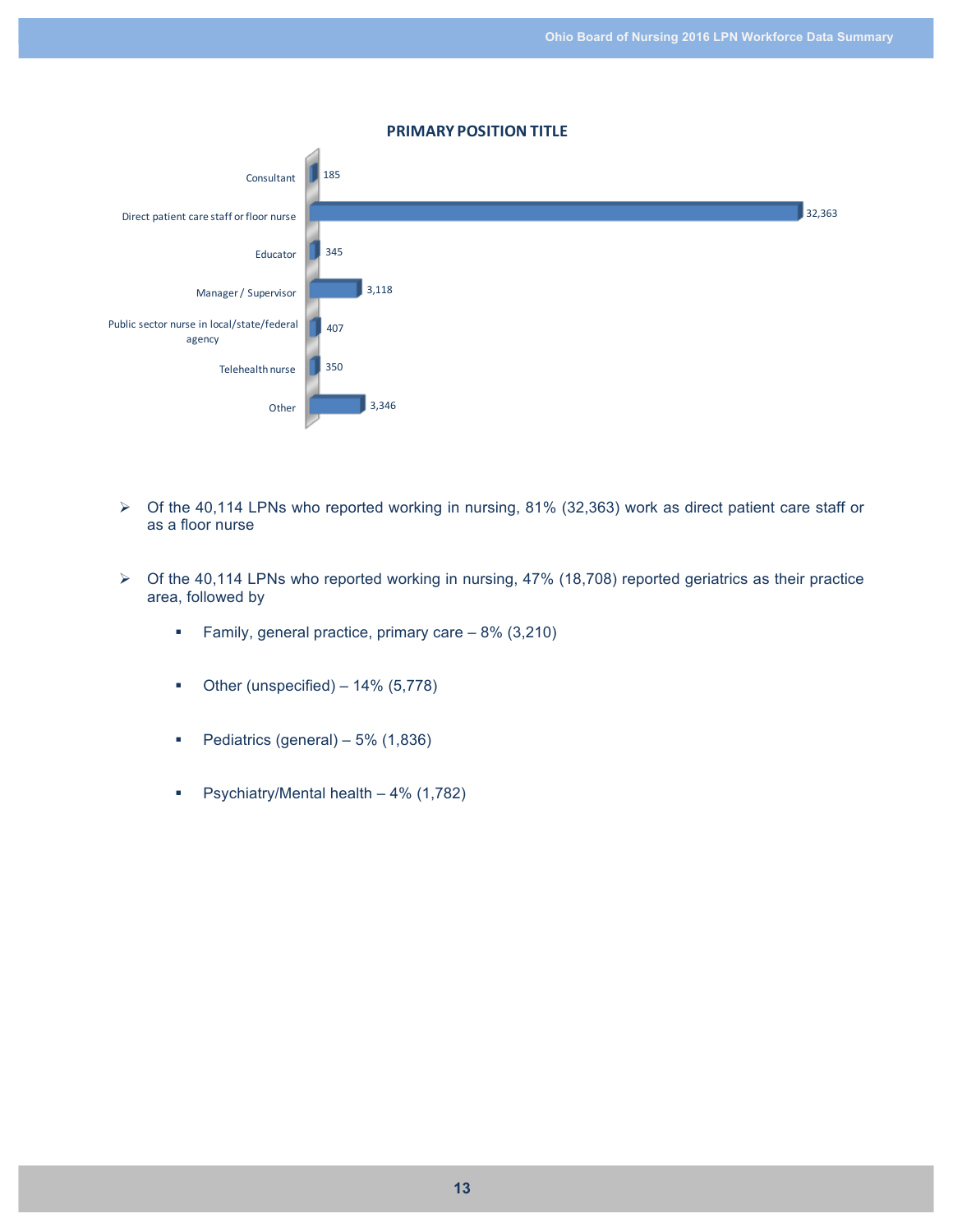

**PRIMARY'POSITION'TITLE**

- $\triangleright$  Of the 40,114 LPNs who reported working in nursing, 81% (32,363) work as direct patient care staff or as a floor nurse
- $\triangleright$  Of the 40,114 LPNs who reported working in nursing, 47% (18,708) reported geriatrics as their practice area, followed by
	- § Family, general practice, primary care 8% (3,210)
	- Other (unspecified) 14% (5,778)
	- Pediatrics (general) 5% (1,836)
	- § Psychiatry/Mental health 4% (1,782)